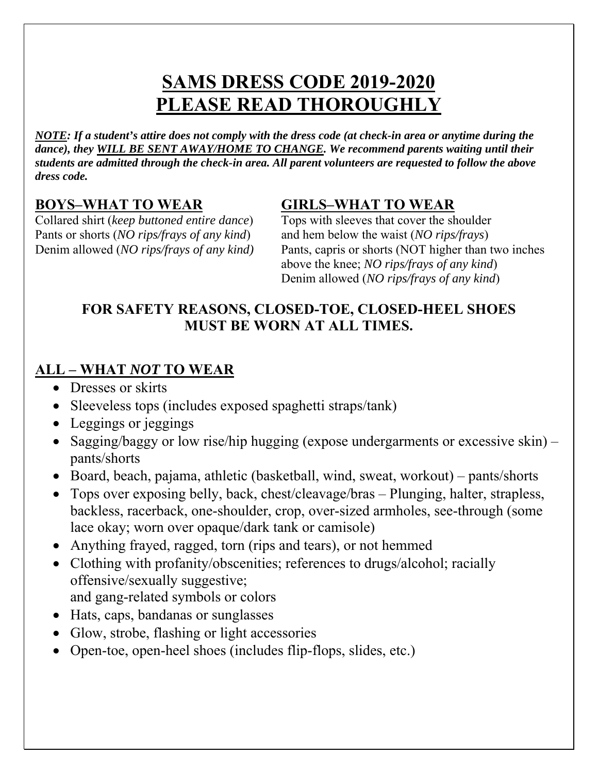## **SAMS DRESS CODE 2019-2020 PLEASE READ THOROUGHLY**

*NOTE: If a student's attire does not comply with the dress code (at check-in area or anytime during the*  dance), they WILL BE SENT AWAY/HOME TO CHANGE. We recommend parents waiting until their *students are admitted through the check-in area. All parent volunteers are requested to follow the above dress code.* 

Collared shirt (*keep buttoned entire dance*) Tops with sleeves that cover the shoulder Pants or shorts (*NO rips/frays of any kind*) and hem below the waist (*NO rips/frays*)

### **BOYS–WHAT TO WEAR GIRLS–WHAT TO WEAR**

Denim allowed (*NO rips/frays of any kind)* Pants, capris or shorts (NOT higher than two inches above the knee; *NO rips/frays of any kind*) Denim allowed (*NO rips/frays of any kind*)

#### **FOR SAFETY REASONS, CLOSED-TOE, CLOSED-HEEL SHOES MUST BE WORN AT ALL TIMES.**

## **ALL – WHAT** *NOT* **TO WEAR**

- Dresses or skirts
- Sleeveless tops (includes exposed spaghetti straps/tank)
- Leggings or jeggings
- Sagging/baggy or low rise/hip hugging (expose undergarments or excessive skin) pants/shorts
- Board, beach, pajama, athletic (basketball, wind, sweat, workout) pants/shorts
- Tops over exposing belly, back, chest/cleavage/bras Plunging, halter, strapless, backless, racerback, one-shoulder, crop, over-sized armholes, see-through (some lace okay; worn over opaque/dark tank or camisole)
- Anything frayed, ragged, torn (rips and tears), or not hemmed
- Clothing with profanity/obscenities; references to drugs/alcohol; racially offensive/sexually suggestive;
	- and gang-related symbols or colors
- Hats, caps, bandanas or sunglasses
- Glow, strobe, flashing or light accessories
- Open-toe, open-heel shoes (includes flip-flops, slides, etc.)